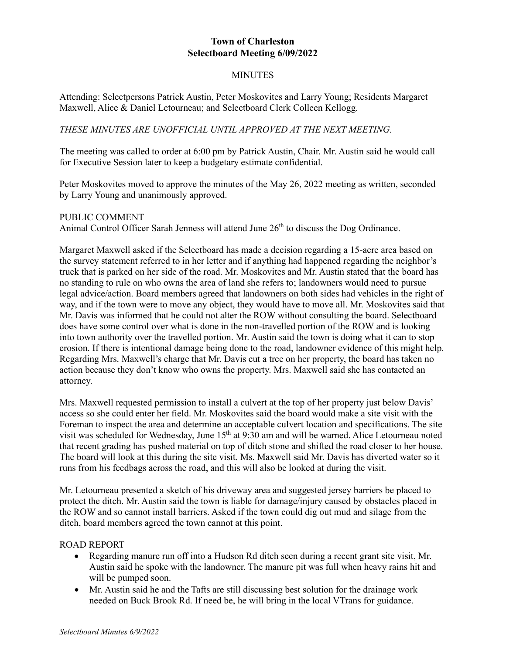# **Town of Charleston Selectboard Meeting 6/09/2022**

### **MINUTES**

Attending: Selectpersons Patrick Austin, Peter Moskovites and Larry Young; Residents Margaret Maxwell, Alice & Daniel Letourneau; and Selectboard Clerk Colleen Kellogg.

## *THESE MINUTES ARE UNOFFICIAL UNTIL APPROVED AT THE NEXT MEETING.*

The meeting was called to order at 6:00 pm by Patrick Austin, Chair. Mr. Austin said he would call for Executive Session later to keep a budgetary estimate confidential.

Peter Moskovites moved to approve the minutes of the May 26, 2022 meeting as written, seconded by Larry Young and unanimously approved.

#### PUBLIC COMMENT

Animal Control Officer Sarah Jenness will attend June  $26<sup>th</sup>$  to discuss the Dog Ordinance.

Margaret Maxwell asked if the Selectboard has made a decision regarding a 15-acre area based on the survey statement referred to in her letter and if anything had happened regarding the neighbor's truck that is parked on her side of the road. Mr. Moskovites and Mr. Austin stated that the board has no standing to rule on who owns the area of land she refers to; landowners would need to pursue legal advice/action. Board members agreed that landowners on both sides had vehicles in the right of way, and if the town were to move any object, they would have to move all. Mr. Moskovites said that Mr. Davis was informed that he could not alter the ROW without consulting the board. Selectboard does have some control over what is done in the non-travelled portion of the ROW and is looking into town authority over the travelled portion. Mr. Austin said the town is doing what it can to stop erosion. If there is intentional damage being done to the road, landowner evidence of this might help. Regarding Mrs. Maxwell's charge that Mr. Davis cut a tree on her property, the board has taken no action because they don't know who owns the property. Mrs. Maxwell said she has contacted an attorney.

Mrs. Maxwell requested permission to install a culvert at the top of her property just below Davis' access so she could enter her field. Mr. Moskovites said the board would make a site visit with the Foreman to inspect the area and determine an acceptable culvert location and specifications. The site visit was scheduled for Wednesday, June 15<sup>th</sup> at 9:30 am and will be warned. Alice Letourneau noted that recent grading has pushed material on top of ditch stone and shifted the road closer to her house. The board will look at this during the site visit. Ms. Maxwell said Mr. Davis has diverted water so it runs from his feedbags across the road, and this will also be looked at during the visit.

Mr. Letourneau presented a sketch of his driveway area and suggested jersey barriers be placed to protect the ditch. Mr. Austin said the town is liable for damage/injury caused by obstacles placed in the ROW and so cannot install barriers. Asked if the town could dig out mud and silage from the ditch, board members agreed the town cannot at this point.

#### ROAD REPORT

- Regarding manure run off into a Hudson Rd ditch seen during a recent grant site visit, Mr. Austin said he spoke with the landowner. The manure pit was full when heavy rains hit and will be pumped soon.
- Mr. Austin said he and the Tafts are still discussing best solution for the drainage work needed on Buck Brook Rd. If need be, he will bring in the local VTrans for guidance.